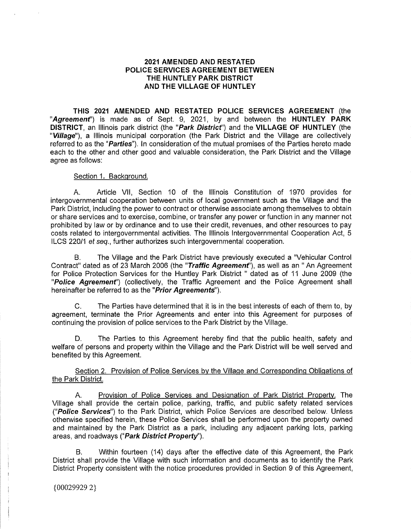## **2021 AMENDED AND RESTATED POLICE SERVICES AGREEMENT BETWEEN THE HUNTLEY PARK DISTRICT AND THE VILLAGE OF HUNTLEY**

**THIS 2021 AMENDED AND RESTATED POLICE SERVICES AGREEMENT** (the **"Agreement')** is made as of Sept. 9, 2021, by and between the **HUNTLEY PARK DISTRICT,** an Illinois park district (the **"Park District')** and the **VILLAGE OF HUNTLEY** (the **"Village"),** a Illinois municipal corporation (the Park District and the Village are collectively referred to as the **"Parties").** In consideration of the mutual promises of the Parties hereto made each to the other and other good and valuable consideration, the Park District and the Village agree as follows:

#### Section 1. Background.

A. Article VII, Section 10 of the Illinois Constitution of 1970 provides for intergovernmental cooperation between units of local government such as the Village and the Park District, including the power to contract or otherwise associate among themselves to obtain or share services and to exercise, combine, or transfer any power or function in any manner not prohibited by law or by ordinance and to use their credit, revenues, and other resources to pay costs related to intergovernmental activities. The Illinois Intergovernmental Cooperation Act, 5 ILCS 220/1 *et seq.,* further authorizes such intergovernmental cooperation.

B. The Village and the Park District have previously executed a "Vehicular Control Contract" dated as of 23 March 2006 (the **"Traffic Agreement'),** as well as an " An Agreement for Police Protection Services for the Huntley Park District " dated as of 11 June 2009 (the **"Police Agreement')** (collectively, the Traffic Agreement and the Police Agreement shall hereinafter be referred to as the **"Prior Agreements").** 

C. The Parties have determined that it is in the best interests of each of them to, by agreement, terminate the Prior Agreements and enter into this Agreement for purposes of continuing the provision of police services to the Park District by the Village.

The Parties to this Agreement hereby find that the public health, safety and welfare of persons and property within the Village and the Park District will be well served and benefited by this Agreement.

Section 2. Provision of Police Services by the Village and Corresponding Obligations of the Park District.

A. Provision of Police Services and Designation of Park District Property. The Village shall provide the certain police, parking, traffic, and public safety related services **("Police Services")** to the Park District, which Police Services are described below. Unless otherwise specified herein, these Police Services shall be performed upon the property owned and maintained by the Park District as a park, including any adjacent parking lots, parking areas, and roadways **("Park District Property").** 

B. Within fourteen (14) days after the effective date of this Agreement, the Park District shall provide the Village with such information and documents as to identify the Park District Property consistent with the notice procedures provided in Section 9 of this Agreement,

{00029929 2}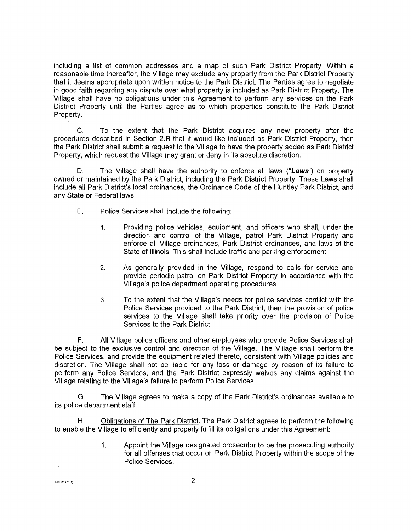including a list of common addresses and a map of such Park District Property. Within a reasonable time thereafter, the Village may exclude any property from the Park District Property that it deems appropriate upon written notice to the Park District. The Parties agree to negotiate in good faith regarding any dispute over what property is included as Park District Property. The Village shall have no obligations under this Agreement to perform any services on the Park District Property until the Parties agree as to which properties constitute the Park District Property.

C. To the extent that the Park District acquires any new property after the procedures described in Section 2.B that it would like included as Park District Property, then the Park District shall submit a request to the Village to have the property added as Park District Property, which request the Village may grant or deny in its absolute discretion.

D. The Village shall have the authority to enforce all laws **("Laws")** on property owned or maintained by the Park District, including the Park District Property. These Laws shall include all Park District's local ordinances, the Ordinance Code of the Huntley Park District, and any State or Federal laws.

- E. Police Services shall include the following:
	- 1. Providing police vehicles, equipment, and officers who shall, under the direction and control of the Village, patrol Park District Property and enforce all Village ordinances, Park District ordinances, and laws of the State of Illinois. This shall include traffic and parking enforcement.
	- 2. As generally provided in the Village, respond to calls for service and provide periodic patrol on Park District Property in accordance with the Village's police department operating procedures.
	- 3. To the extent that the Village's needs for police services conflict with the Police Services provided to the Park District, then the provision of police services to the Village shall take priority over the provision of Police Services to the Park District.

F. All Village police officers and other employees who provide Police Services shall be subject to the exclusive control and direction of the Village. The Village shall perform the Police Services, and provide the equipment related thereto, consistent with Village policies and discretion. The Village shall not be liable for any loss or damage by reason of its failure to perform any Police Services, and the Park District expressly waives any claims against the Village relating to the Village's failure to perform Police Services.

G. The Village agrees to make a copy of the Park District's ordinances available to its police department staff.

H. Obligations of The Park District. The Park District agrees to perform the following to enable the Village to efficiently and properly fulfill its obligations under this Agreement:

> 1. Appoint the Village designated prosecutor to be the prosecuting authority for all offenses that occur on Park District Property within the scope of the Police Services.

{00029921} 2)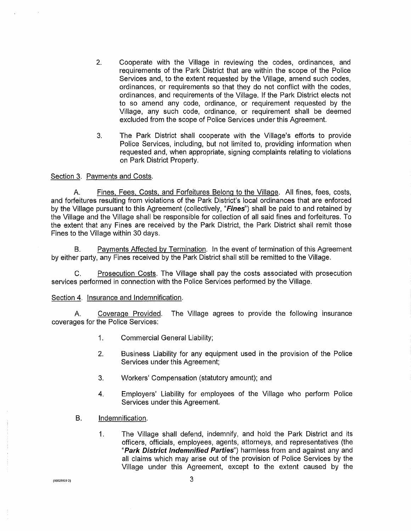- 2. Cooperate with the Village in reviewing the codes, ordinances, and requirements of the Park District that are within the scope of the Police Services and, to the extent requested by the Village, amend such codes, ordinances, or requirements so that they do not conflict with the codes, ordinances, and requirements of the Village. If the Park District elects not to so amend any code, ordinance, or requirement requested by the Village, any such code, ordinance, or requirement shall be deemed excluded from the scope of Police Services under this Agreement.
- 3. The Park District shall cooperate with the Village's efforts to provide Police Services, including, but not limited to, providing information when requested and, when appropriate, signing complaints relating to violations on Park District Property.

Section 3. Payments and Costs.

A. Fines, Fees, Costs, and Forfeitures Belong to the Village. All fines, fees, costs, and forfeitures resulting from violations of the Park District's local ordinances that are enforced by the Village pursuant to this Agreement (collectively, **"Fines")** shall be paid to and retained by the Village and the Village shall be responsible for collection of all said fines and forfeitures. To the extent that any Fines are received by the Park District, the Park District shall remit those Fines to the Village within 30 days.

B. Payments Affected by Termination. In the event of termination of this Agreement by either party, any Fines received by the Park District shall still be remitted to the Village.

C. Prosecution Costs. The Village shall pay the costs associated with prosecution services performed in connection with the Police Services performed by the Village.

#### Section 4. Insurance and Indemnification.

A. Coverage Provided. The Village agrees to provide the following insurance coverages for the Police Services:

- 1. Commercial General Liability;
- 2. Business Liability for any equipment used in the provision of the Police Services under this Agreement;
- 3. Workers' Compensation (statutory amount); and
- 4. Employers' Liability for employees of the Village who perform Police Services under this Agreement.
- B. Indemnification.
	- 1. The Village shall defend, indemnify, and hold the Park District and its officers, officials, employees, agents, attorneys, and representatives (the **"Park District Indemnified Parties")** harmless from and against any and all claims which may arise out of the provision of Police Services by the Village under this Agreement, except to the extent caused by the

{000299292}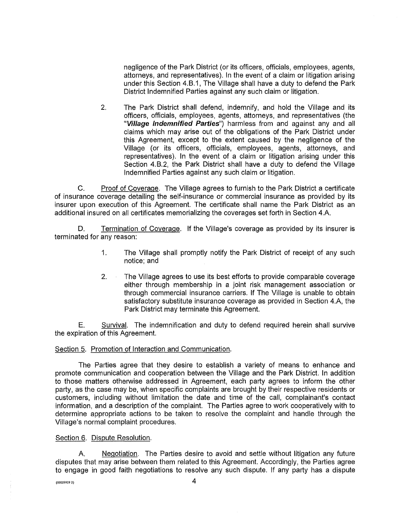negligence of the Park District (or its officers, officials, employees, agents, attorneys, and representatives). In the event of a claim or litigation arising under this Section 4.B.1, The Village shall have a duty to defend the Park District Indemnified Parties against any such claim or litigation.

2. The Park District shall defend, indemnify, and hold the Village and its officers, officials, employees, agents, attorneys, and representatives (the **"Village Indemnified Parties")** harmless from and against any and all claims which may arise out of the obligations of the Park District under this Agreement, except to the extent caused by the negligence of the Village (or its officers, officials, employees, agents, attorneys, and representatives). In the event of a claim or litigation arising under this Section 4.B.2, the Park District shall have a duty to defend the Village Indemnified Parties against any such claim or litigation.

C. Proof of Coverage. The Village agrees to furnish to the Park District a certificate of insurance coverage detailing the self-insurance or commercial insurance as provided by its insurer upon execution of this Agreement. The certificate shall name the Park District as an additional insured on all certificates memorializing the coverages set forth in Section 4.A.

D. Termination of Coverage. If the Village's coverage as provided by its insurer is terminated for any reason:

- 1. The Village shall promptly notify the Park District of receipt of any such notice; and
- 2. The Village agrees to use its best efforts to provide comparable coverage either through membership in a joint risk management association or through commercial insurance carriers. If The Village is unable to obtain satisfactory substitute insurance coverage as provided in Section 4.A, the Park District may terminate this Agreement.

E. Survival. The indemnification and duty to defend required herein shall survive the expiration of this Agreement.

#### Section 5. Promotion of Interaction and Communication.

The Parties agree that they desire to establish a variety of means to enhance and promote communication and cooperation between the Village and the Park District. In addition to those matters otherwise addressed in Agreement, each party agrees to inform the other party, as the case may be, when specific complaints are brought by their respective residents or customers, including without limitation the date and time of the call, complainant's contact information, and a description of the complaint. The Parties agree to work cooperatively with to determine appropriate actions to be taken to resolve the complaint and handle through the Village's normal complaint procedures.

#### Section 6. Dispute Resolution.

A. Negotiation. The Parties desire to avoid and settle without litigation any future disputes that may arise between them related to this Agreement. Accordingly, the Parties agree to engage in good faith negotiations to resolve any such dispute. If any party has a dispute

 $(000299292)$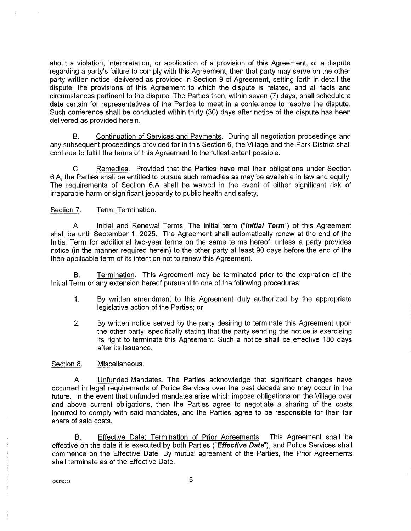about a violation, interpretation, or application of a provision of this Agreement, or a dispute regarding a party's failure to comply with this Agreement, then that party may serve on the other party written notice, delivered as provided in Section 9 of Agreement, setting forth in detail the dispute, the provisions of this Agreement to which the dispute is related, and all facts and circumstances pertinent to the dispute. The Parties then, within seven (7) days, shall schedule a date certain for representatives of the Parties to meet in a conference to resolve the dispute. Such conference shall be conducted within thirty (30) days after notice of the dispute has been delivered as provided herein.

B. Continuation of Services and Payments. During all negotiation proceedings and any subsequent proceedings provided for in this Section 6, the Village and the Park District shall continue to fulfill the terms of this Agreement to the fullest extent possible.

C. Remedies. Provided that the Parties have met their obligations under Section 6.A, the Parties shall be entitled to pursue such remedies as may be available in law and equity. The requirements of Section 6.A shall be waived in the event of either significant risk of irreparable harm or significant jeopardy to public health and safety.

### Section 7. Term: Termination.

A. Initial and Renewal Terms. The initial term **("Initial Term")** of this Agreement shall be until September 1, 2025. The Agreement shall automatically renew at the end of the Initial Term for additional two-year terms on the same terms hereof, unless a party provides notice (in the manner required herein) to the other party at least 90 days before the end of the then-applicable term of its intention not to renew this Agreement.

B. Termination. This Agreement may be terminated prior to the expiration of the Initial Term or any extension hereof pursuant to one of the following procedures:

- 1. By written amendment to this Agreement duly authorized by the appropriate legislative action of the Parties; or
- 2. By written notice served by the party desiring to terminate this Agreement upon the other party, specifically stating that the party sending the notice is exercising its right to terminate this Agreement. Such a notice shall be effective 180 days after its issuance.

#### Section 8. Miscellaneous.

Unfunded Mandates. The Parties acknowledge that significant changes have occurred in legal requirements of Police Services over the past decade and may occur in the future. In the event that unfunded mandates arise which impose obligations on the Village over and above current obligations, then the Parties agree to negotiate a sharing of the costs incurred to comply with said mandates, and the Parties agree to be responsible for their fair share of said costs.

B. Effective Date; Termination of Prior Agreements. This Agreement shall be effective on the date it is executed by both Parties **("Effective Date"),** and Police Services shall commence on the Effective Date. By mutual agreement of the Parties, the Prior Agreements shall terminate as of the Effective Date.

 $(0.002992921)$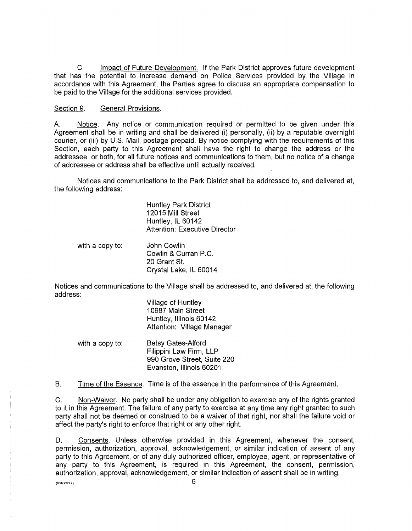C. Impact of Future Development. If the Park District approves future development that has the potential to increase demand on Police Services provided by the Village in accordance with this Agreement, the Parties agree to discuss an appropriate compensation to be paid to the Village for the additional services provided.

Section 9. General Provisions.

A. Notice. Any notice or communication required or permitted to be given under this Agreement shall be in writing and shall be delivered (i) personally, (ii) by a reputable overnight courier, or (iii) by U.S. Mail, postage prepaid. By notice complying with the requirements of this Section, each party to this Agreement shall have the right to change the address or the addressee, or both, for all future notices and communications to them, but no notice of a change of addressee or address shall be effective until actually received.

Notices and communications to the Park District shall be addressed to, and delivered at, the following address:

> Huntley Park District 12015 Mill Street Huntley, IL 60142 Attention: Executive Director

with a copy to: John Cowlin Cowlin & Curran P.C. 20 Grant St. Crystal Lake, IL 60014

Notices and communications to the Village shall be addressed to, and delivered at, the following address:

> Village of Huntley 10987 Main Street Huntley, Illinois 60142 Attention: Village Manager

with a copy to: Betsy Gates-Alford Filippini Law Firm, LLP 990 Grove Street, Suite 220 Evanston, Illinois 60201

B. Time of the Essence. Time is of the essence in the performance of this Agreement.

C. Non-Waiver. No party shall be under any obligation to exercise any of the rights granted to it in this Agreement. The failure of any party to exercise at any time any right granted to such party shall not be deemed or construed to be a waiver of that right, nor shall the failure void or affect the party's right to enforce that right or any other right.

D. Consents. Unless otherwise provided in this Agreement, whenever the consent, permission, authorization, approval, acknowledgement, or similar indication of assent of any party to this Agreement, or of any duly authorized officer, employee, agent, or representative of any party to this Agreement, is required in this Agreement, the consent, permission, authorization, approval, acknowledgement, or similar indication of assent shall be in writing.

 $(0.00299292)$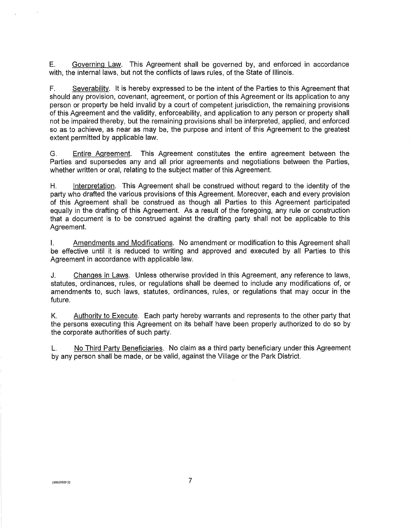E. Governing Law. This Agreement shall be governed by, and enforced in accordance with, the internal laws, but not the conflicts of laws rules, of the State of Illinois.

F. Severability. It is hereby expressed to be the intent of the Parties to this Agreement that should any provision, covenant, agreement, or portion of this Agreement or its application to any person or property be held invalid by a court of competent jurisdiction, the remaining provisions of this Agreement and the validity, enforceability, and application to any person or property shall not be impaired thereby, but the remaining provisions shall be interpreted, applied, and enforced so as to achieve, as near as may be, the purpose and intent of this Agreement to the greatest extent permitted by applicable law.

G. Entire Agreement. This Agreement constitutes the entire agreement between the Parties and supersedes any and all prior agreements and negotiations between the Parties, whether written or oral, relating to the subject matter of this Agreement.

H. Interpretation. This Agreement shall be construed without regard to the identity of the party who drafted the various provisions of this Agreement. Moreover, each and every provision of this Agreement shall be construed as though all Parties to this Agreement participated equally in the drafting of this Agreement. As a result of the foregoing, any rule or construction that a document is to be construed against the drafting party shall not be applicable to this Agreement.

I. Amendments and Modifications. No amendment or modification to this Agreement shall be effective until it is reduced to writing and approved and executed by all Parties to this Agreement in accordance with applicable law.

J. Changes in Laws. Unless otherwise provided in this Agreement, any reference to laws, statutes, ordinances, rules, or regulations shall be deemed to include any modifications of, or amendments to, such laws, statutes, ordinances, rules, or regulations that may occur in the future.

K. Authority to Execute. Each party hereby warrants and represents to the other party that the persons executing this Agreement on its behalf have been properly authorized to do so by the corporate authorities of such party.

L. No Third Party Beneficiaries. No claim as a third party beneficiary under this Agreement by any person shall be made, or be valid, against the Village or the Park District.